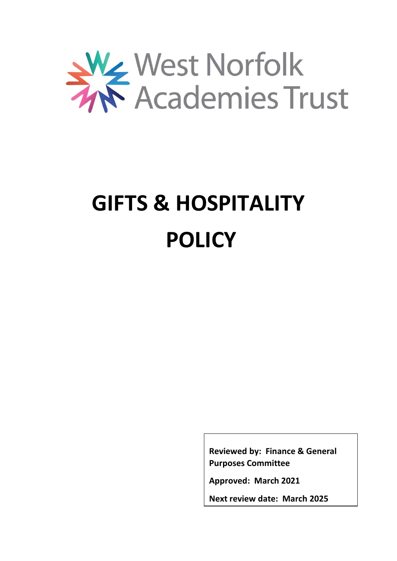

# **GIFTS & HOSPITALITY POLICY**

**Reviewed by: Finance & General Purposes Committee**

**Approved: March 2021**

**Next review date: March 2025**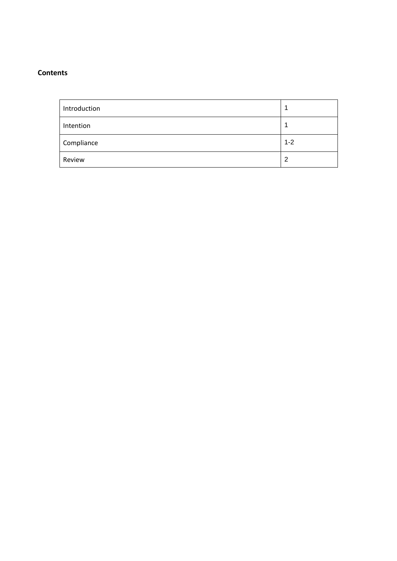# **Contents**

| Introduction |         |
|--------------|---------|
| Intention    |         |
| Compliance   | $1 - 2$ |
| Review       | 2       |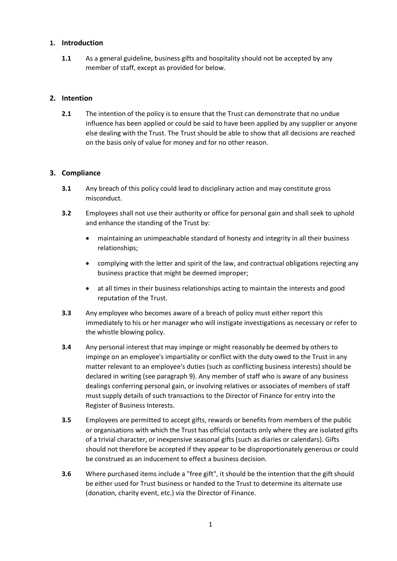## **1. Introduction**

**1.1** As a general guideline, business gifts and hospitality should not be accepted by any member of staff, except as provided for below.

# **2. Intention**

**2.1** The intention of the policy is to ensure that the Trust can demonstrate that no undue influence has been applied or could be said to have been applied by any supplier or anyone else dealing with the Trust. The Trust should be able to show that all decisions are reached on the basis only of value for money and for no other reason.

## **3. Compliance**

- **3.1** Any breach of this policy could lead to disciplinary action and may constitute gross misconduct.
- **3.2** Employees shall not use their authority or office for personal gain and shall seek to uphold and enhance the standing of the Trust by:
	- maintaining an unimpeachable standard of honesty and integrity in all their business relationships;
	- complying with the letter and spirit of the law, and contractual obligations rejecting any business practice that might be deemed improper;
	- at all times in their business relationships acting to maintain the interests and good reputation of the Trust.
- **3.3** Any employee who becomes aware of a breach of policy must either report this immediately to his or her manager who will instigate investigations as necessary or refer to the whistle blowing policy.
- **3.4** Any personal interest that may impinge or might reasonably be deemed by others to impinge on an employee's impartiality or conflict with the duty owed to the Trust in any matter relevant to an employee's duties (such as conflicting business interests) should be declared in writing (see paragraph 9). Any member of staff who is aware of any business dealings conferring personal gain, or involving relatives or associates of members of staff must supply details of such transactions to the Director of Finance for entry into the Register of Business Interests.
- **3.5** Employees are permitted to accept gifts, rewards or benefits from members of the public or organisations with which the Trust has official contacts only where they are isolated gifts of a trivial character, or inexpensive seasonal gifts (such as diaries or calendars). Gifts should not therefore be accepted if they appear to be disproportionately generous or could be construed as an inducement to effect a business decision.
- **3.6** Where purchased items include a "free gift", it should be the intention that the gift should be either used for Trust business or handed to the Trust to determine its alternate use (donation, charity event, etc.) via the Director of Finance.